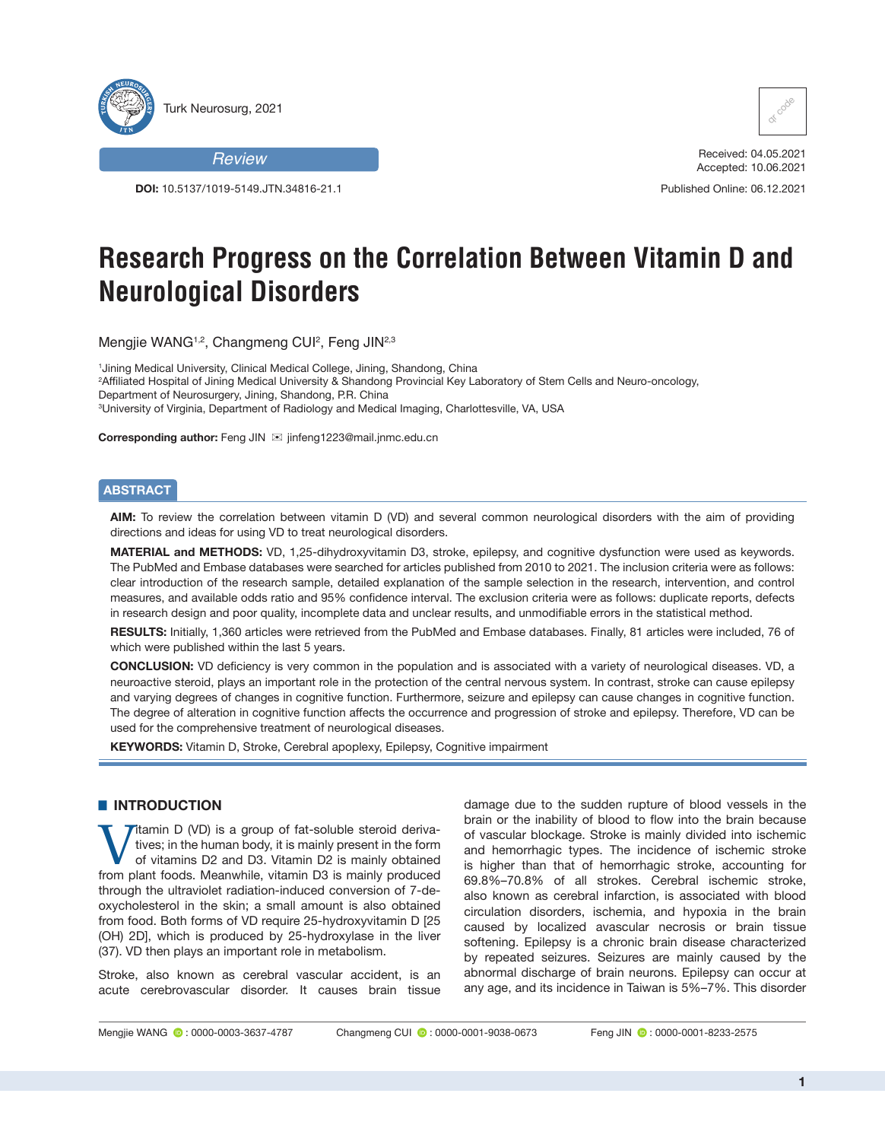

## *Review*

**DOI:** 10.5137/1019-5149.JTN.34816-21.1



Received: 04.05.2021 Accepted: 10.06.2021 Published Online: 06.12.2021

# **Research Progress on the Correlation Between Vitamin D and Neurological Disorders**

Mengjie WANG<sup>1,2</sup>, Changmeng CUI<sup>2</sup>, Feng JIN<sup>2,3</sup>

1 Jining Medical University, Clinical Medical College, Jining, Shandong, China

2 Affiliated Hospital of Jining Medical University & Shandong Provincial Key Laboratory of Stem Cells and Neuro-oncology, Department of Neurosurgery, Jining, Shandong, P.R. China

3 University of Virginia, Department of Radiology and Medical Imaging, Charlottesville, VA, USA

**Corresponding author:** Feng JIN ⊠ jinfeng1223@mail.jnmc.edu.cn

#### **ABSTRACT**

**AIM:** To review the correlation between vitamin D (VD) and several common neurological disorders with the aim of providing directions and ideas for using VD to treat neurological disorders.

**MATERIAL and METHODS:** VD, 1,25-dihydroxyvitamin D3, stroke, epilepsy, and cognitive dysfunction were used as keywords. The PubMed and Embase databases were searched for articles published from 2010 to 2021. The inclusion criteria were as follows: clear introduction of the research sample, detailed explanation of the sample selection in the research, intervention, and control measures, and available odds ratio and 95% confidence interval. The exclusion criteria were as follows: duplicate reports, defects in research design and poor quality, incomplete data and unclear results, and unmodifiable errors in the statistical method.

**RESULTS:** Initially, 1,360 articles were retrieved from the PubMed and Embase databases. Finally, 81 articles were included, 76 of which were published within the last 5 years.

**CONCLUSION:** VD deficiency is very common in the population and is associated with a variety of neurological diseases. VD, a neuroactive steroid, plays an important role in the protection of the central nervous system. In contrast, stroke can cause epilepsy and varying degrees of changes in cognitive function. Furthermore, seizure and epilepsy can cause changes in cognitive function. The degree of alteration in cognitive function affects the occurrence and progression of stroke and epilepsy. Therefore, VD can be used for the comprehensive treatment of neurological diseases.

**KEYWORDS:** Vitamin D, Stroke, Cerebral apoplexy, Epilepsy, Cognitive impairment

# **E INTRODUCTION**

Vitamin D (VD) is a group of fat-soluble steroid deriva-<br>tives; in the human body, it is mainly present in the form<br>of vitamins D2 and D3. Vitamin D2 is mainly obtained<br>from plant foods. Meanwhile, vitamin D3 is mainly pro tives; in the human body, it is mainly present in the form of vitamins D2 and D3. Vitamin D2 is mainly obtained from plant foods. Meanwhile, vitamin D3 is mainly produced through the ultraviolet radiation-induced conversion of 7-deoxycholesterol in the skin; a small amount is also obtained from food. Both forms of VD require 25-hydroxyvitamin D [25 (OH) 2D], which is produced by 25-hydroxylase in the liver (37). VD then plays an important role in metabolism.

Stroke, also known as cerebral vascular accident, is an acute cerebrovascular disorder. It causes brain tissue

damage due to the sudden rupture of blood vessels in the brain or the inability of blood to flow into the brain because of vascular blockage. Stroke is mainly divided into ischemic and hemorrhagic types. The incidence of ischemic stroke is higher than that of hemorrhagic stroke, accounting for 69.8%–70.8% of all strokes. Cerebral ischemic stroke, also known as cerebral infarction, is associated with blood circulation disorders, ischemia, and hypoxia in the brain caused by localized avascular necrosis or brain tissue softening. Epilepsy is a chronic brain disease characterized by repeated seizures. Seizures are mainly caused by the abnormal discharge of brain neurons. Epilepsy can occur at any age, and its incidence in Taiwan is 5%–7%. This disorder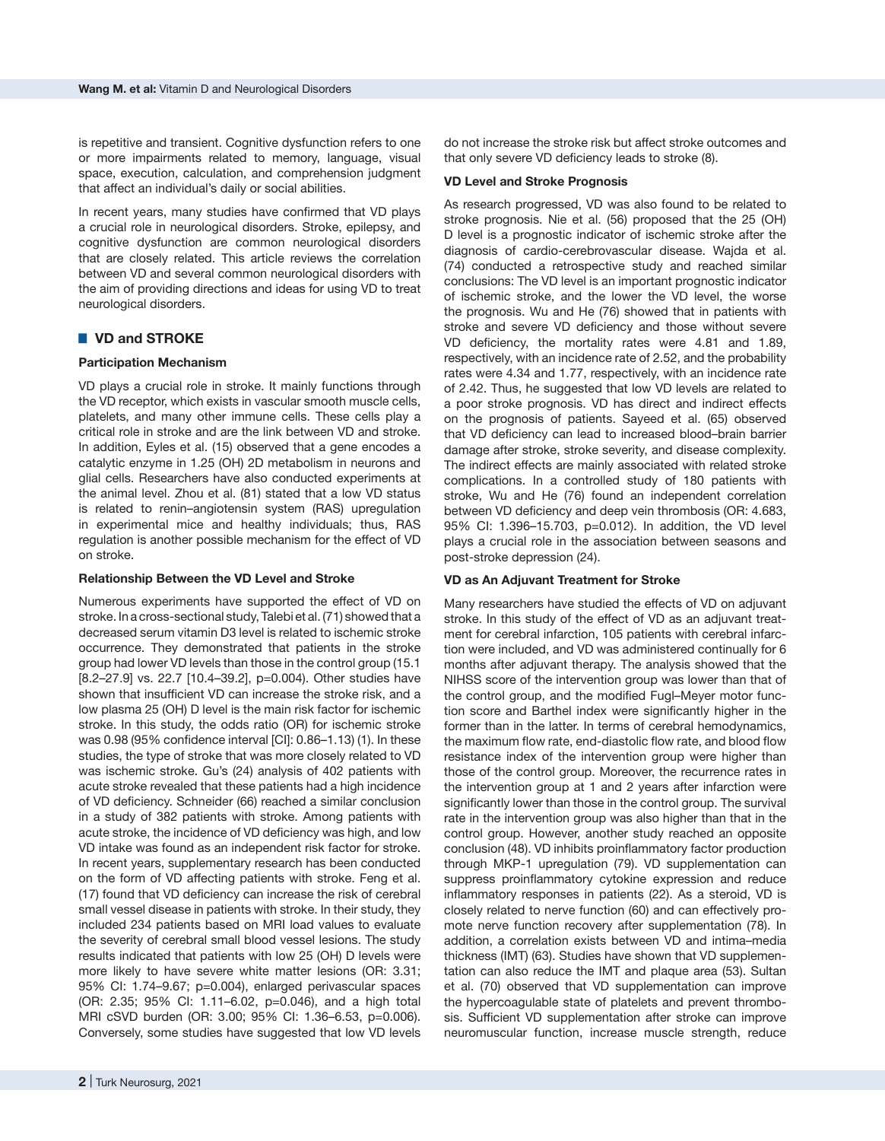is repetitive and transient. Cognitive dysfunction refers to one or more impairments related to memory, language, visual space, execution, calculation, and comprehension judgment that affect an individual's daily or social abilities.

In recent years, many studies have confirmed that VD plays a crucial role in neurological disorders. Stroke, epilepsy, and cognitive dysfunction are common neurological disorders that are closely related. This article reviews the correlation between VD and several common neurological disorders with the aim of providing directions and ideas for using VD to treat neurological disorders.

# █ **VD and STROKE**

## **Participation Mechanism**

VD plays a crucial role in stroke. It mainly functions through the VD receptor, which exists in vascular smooth muscle cells, platelets, and many other immune cells. These cells play a critical role in stroke and are the link between VD and stroke. In addition, Eyles et al. (15) observed that a gene encodes a catalytic enzyme in 1.25 (OH) 2D metabolism in neurons and glial cells. Researchers have also conducted experiments at the animal level. Zhou et al. (81) stated that a low VD status is related to renin–angiotensin system (RAS) upregulation in experimental mice and healthy individuals; thus, RAS regulation is another possible mechanism for the effect of VD on stroke.

#### **Relationship Between the VD Level and Stroke**

Numerous experiments have supported the effect of VD on stroke. In a cross-sectional study, Talebi et al. (71) showed that a decreased serum vitamin D3 level is related to ischemic stroke occurrence. They demonstrated that patients in the stroke group had lower VD levels than those in the control group (15.1 [8.2–27.9] vs. 22.7 [10.4–39.2], p=0.004). Other studies have shown that insufficient VD can increase the stroke risk, and a low plasma 25 (OH) D level is the main risk factor for ischemic stroke. In this study, the odds ratio (OR) for ischemic stroke was 0.98 (95% confidence interval [CI]: 0.86–1.13) (1). In these studies, the type of stroke that was more closely related to VD was ischemic stroke. Gu's (24) analysis of 402 patients with acute stroke revealed that these patients had a high incidence of VD deficiency. Schneider (66) reached a similar conclusion in a study of 382 patients with stroke. Among patients with acute stroke, the incidence of VD deficiency was high, and low VD intake was found as an independent risk factor for stroke. In recent years, supplementary research has been conducted on the form of VD affecting patients with stroke. Feng et al. (17) found that VD deficiency can increase the risk of cerebral small vessel disease in patients with stroke. In their study, they included 234 patients based on MRI load values to evaluate the severity of cerebral small blood vessel lesions. The study results indicated that patients with low 25 (OH) D levels were more likely to have severe white matter lesions (OR: 3.31; 95% CI: 1.74–9.67; p=0.004), enlarged perivascular spaces (OR: 2.35; 95% CI: 1.11–6.02, p=0.046), and a high total MRI cSVD burden (OR: 3.00; 95% CI: 1.36–6.53, p=0.006). Conversely, some studies have suggested that low VD levels

do not increase the stroke risk but affect stroke outcomes and that only severe VD deficiency leads to stroke (8).

#### **VD Level and Stroke Prognosis**

As research progressed, VD was also found to be related to stroke prognosis. Nie et al. (56) proposed that the 25 (OH) D level is a prognostic indicator of ischemic stroke after the diagnosis of cardio-cerebrovascular disease. Wajda et al. (74) conducted a retrospective study and reached similar conclusions: The VD level is an important prognostic indicator of ischemic stroke, and the lower the VD level, the worse the prognosis. Wu and He (76) showed that in patients with stroke and severe VD deficiency and those without severe VD deficiency, the mortality rates were 4.81 and 1.89, respectively, with an incidence rate of 2.52, and the probability rates were 4.34 and 1.77, respectively, with an incidence rate of 2.42. Thus, he suggested that low VD levels are related to a poor stroke prognosis. VD has direct and indirect effects on the prognosis of patients. Sayeed et al. (65) observed that VD deficiency can lead to increased blood–brain barrier damage after stroke, stroke severity, and disease complexity. The indirect effects are mainly associated with related stroke complications. In a controlled study of 180 patients with stroke, Wu and He (76) found an independent correlation between VD deficiency and deep vein thrombosis (OR: 4.683, 95% CI: 1.396–15.703, p=0.012). In addition, the VD level plays a crucial role in the association between seasons and post-stroke depression (24).

#### **VD as An Adjuvant Treatment for Stroke**

Many researchers have studied the effects of VD on adjuvant stroke. In this study of the effect of VD as an adjuvant treatment for cerebral infarction, 105 patients with cerebral infarction were included, and VD was administered continually for 6 months after adjuvant therapy. The analysis showed that the NIHSS score of the intervention group was lower than that of the control group, and the modified Fugl–Meyer motor function score and Barthel index were significantly higher in the former than in the latter. In terms of cerebral hemodynamics, the maximum flow rate, end-diastolic flow rate, and blood flow resistance index of the intervention group were higher than those of the control group. Moreover, the recurrence rates in the intervention group at 1 and 2 years after infarction were significantly lower than those in the control group. The survival rate in the intervention group was also higher than that in the control group. However, another study reached an opposite conclusion (48). VD inhibits proinflammatory factor production through MKP-1 upregulation (79). VD supplementation can suppress proinflammatory cytokine expression and reduce inflammatory responses in patients (22). As a steroid, VD is closely related to nerve function (60) and can effectively promote nerve function recovery after supplementation (78). In addition, a correlation exists between VD and intima–media thickness (IMT) (63). Studies have shown that VD supplementation can also reduce the IMT and plaque area (53). Sultan et al. (70) observed that VD supplementation can improve the hypercoagulable state of platelets and prevent thrombosis. Sufficient VD supplementation after stroke can improve neuromuscular function, increase muscle strength, reduce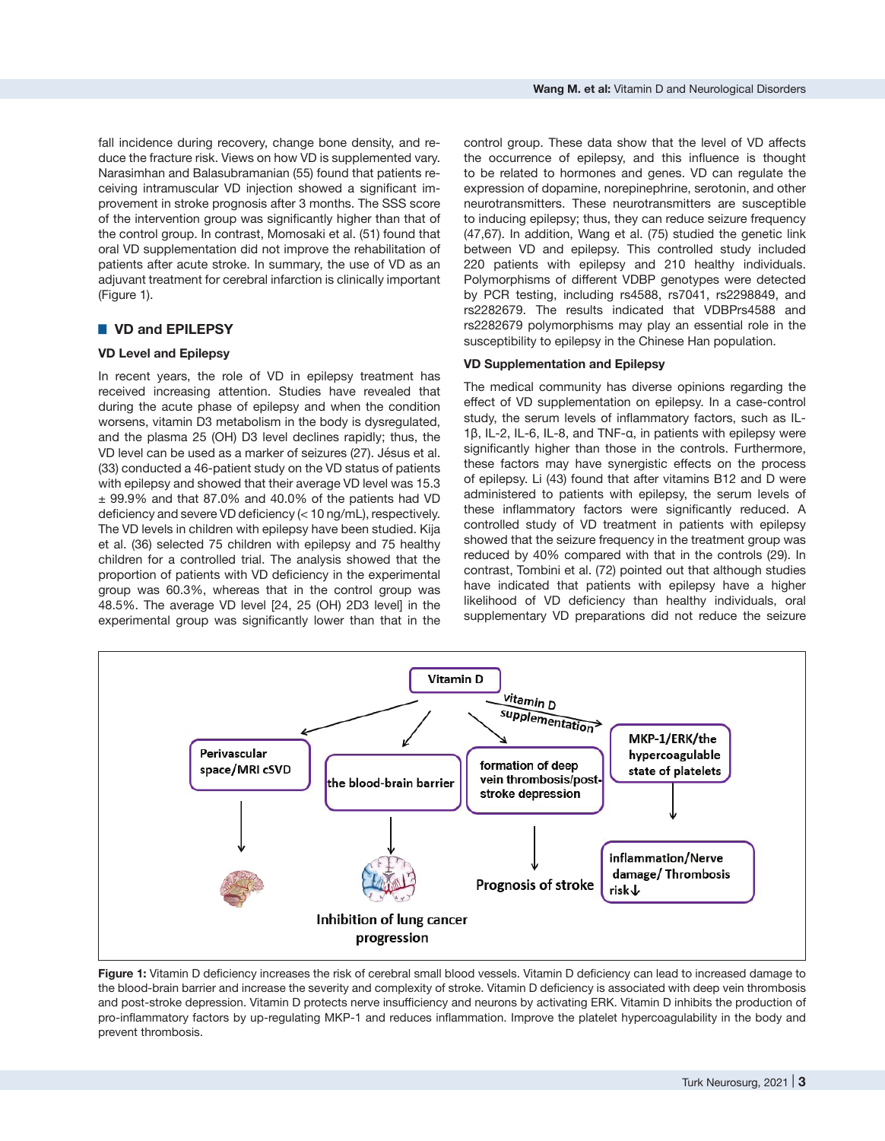fall incidence during recovery, change bone density, and reduce the fracture risk. Views on how VD is supplemented vary. Narasimhan and Balasubramanian (55) found that patients receiving intramuscular VD injection showed a significant improvement in stroke prognosis after 3 months. The SSS score of the intervention group was significantly higher than that of the control group. In contrast, Momosaki et al. (51) found that oral VD supplementation did not improve the rehabilitation of patients after acute stroke. In summary, the use of VD as an adjuvant treatment for cerebral infarction is clinically important (Figure 1).

## ■ VD and EPILEPSY

## **VD Level and Epilepsy**

In recent years, the role of VD in epilepsy treatment has received increasing attention. Studies have revealed that during the acute phase of epilepsy and when the condition worsens, vitamin D3 metabolism in the body is dysregulated, and the plasma 25 (OH) D3 level declines rapidly; thus, the VD level can be used as a marker of seizures (27). Jésus et al. (33) conducted a 46-patient study on the VD status of patients with epilepsy and showed that their average VD level was 15.3  $\pm$  99.9% and that 87.0% and 40.0% of the patients had VD deficiency and severe VD deficiency (< 10 ng/mL), respectively. The VD levels in children with epilepsy have been studied. Kija et al. (36) selected 75 children with epilepsy and 75 healthy children for a controlled trial. The analysis showed that the proportion of patients with VD deficiency in the experimental group was 60.3%, whereas that in the control group was 48.5%. The average VD level [24, 25 (OH) 2D3 level] in the experimental group was significantly lower than that in the

control group. These data show that the level of VD affects the occurrence of epilepsy, and this influence is thought to be related to hormones and genes. VD can regulate the expression of dopamine, norepinephrine, serotonin, and other neurotransmitters. These neurotransmitters are susceptible to inducing epilepsy; thus, they can reduce seizure frequency (47,67). In addition, Wang et al. (75) studied the genetic link between VD and epilepsy. This controlled study included 220 patients with epilepsy and 210 healthy individuals. Polymorphisms of different VDBP genotypes were detected by PCR testing, including rs4588, rs7041, rs2298849, and rs2282679. The results indicated that VDBPrs4588 and rs2282679 polymorphisms may play an essential role in the susceptibility to epilepsy in the Chinese Han population.

#### **VD Supplementation and Epilepsy**

The medical community has diverse opinions regarding the effect of VD supplementation on epilepsy. In a case-control study, the serum levels of inflammatory factors, such as IL-1β, IL-2, IL-6, IL-8, and TNF-α, in patients with epilepsy were significantly higher than those in the controls. Furthermore, these factors may have synergistic effects on the process of epilepsy. Li (43) found that after vitamins B12 and D were administered to patients with epilepsy, the serum levels of these inflammatory factors were significantly reduced. A controlled study of VD treatment in patients with epilepsy showed that the seizure frequency in the treatment group was reduced by 40% compared with that in the controls (29). In contrast, Tombini et al. (72) pointed out that although studies have indicated that patients with epilepsy have a higher likelihood of VD deficiency than healthy individuals, oral supplementary VD preparations did not reduce the seizure



**Figure 1:** Vitamin D deficiency increases the risk of cerebral small blood vessels. Vitamin D deficiency can lead to increased damage to the blood-brain barrier and increase the severity and complexity of stroke. Vitamin D deficiency is associated with deep vein thrombosis and post-stroke depression. Vitamin D protects nerve insufficiency and neurons by activating ERK. Vitamin D inhibits the production of pro-inflammatory factors by up-regulating MKP-1 and reduces inflammation. Improve the platelet hypercoagulability in the body and prevent thrombosis.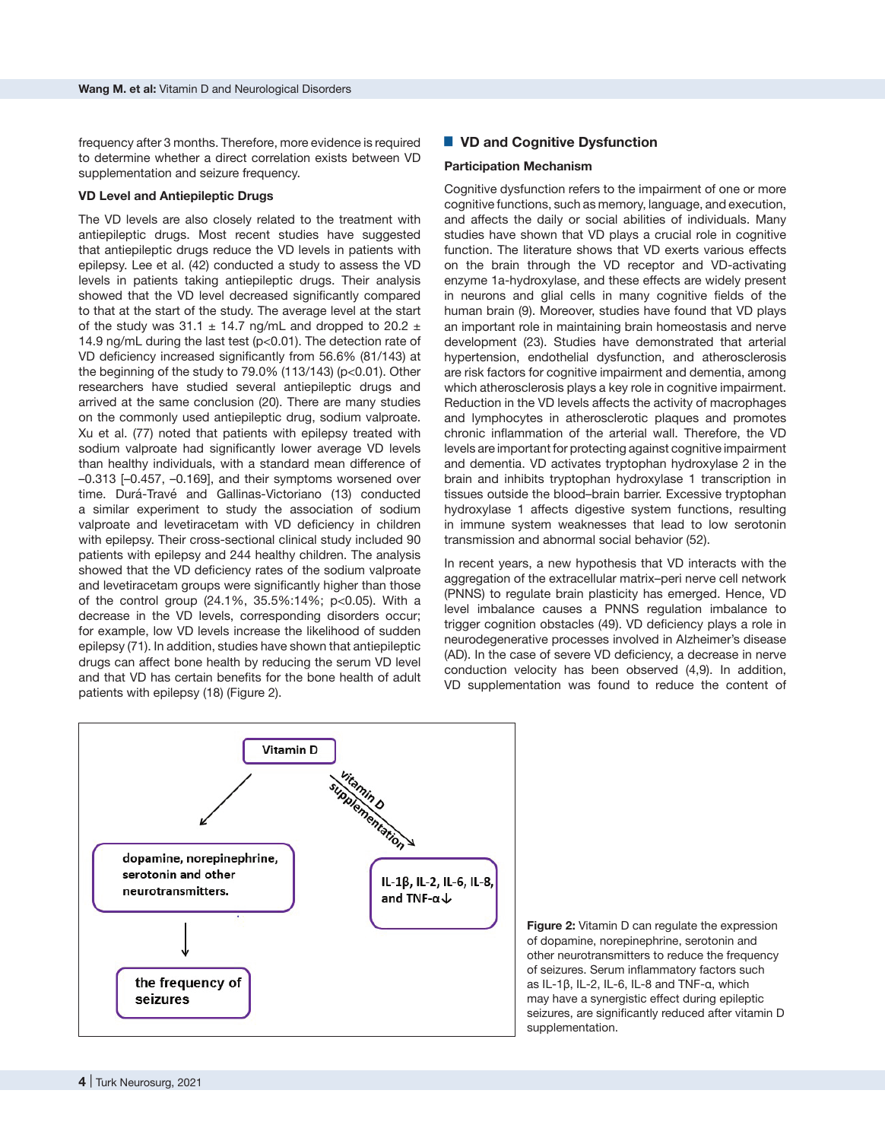frequency after 3 months. Therefore, more evidence is required to determine whether a direct correlation exists between VD supplementation and seizure frequency.

## **VD Level and Antiepileptic Drugs**

The VD levels are also closely related to the treatment with antiepileptic drugs. Most recent studies have suggested that antiepileptic drugs reduce the VD levels in patients with epilepsy. Lee et al. (42) conducted a study to assess the VD levels in patients taking antiepileptic drugs. Their analysis showed that the VD level decreased significantly compared to that at the start of the study. The average level at the start of the study was 31.1  $\pm$  14.7 ng/mL and dropped to 20.2  $\pm$ 14.9 ng/mL during the last test (p<0.01). The detection rate of VD deficiency increased significantly from 56.6% (81/143) at the beginning of the study to 79.0% (113/143) (p<0.01). Other researchers have studied several antiepileptic drugs and arrived at the same conclusion (20). There are many studies on the commonly used antiepileptic drug, sodium valproate. Xu et al. (77) noted that patients with epilepsy treated with sodium valproate had significantly lower average VD levels than healthy individuals, with a standard mean difference of –0.313 [–0.457, –0.169], and their symptoms worsened over time. Durá-Travé and Gallinas-Victoriano (13) conducted a similar experiment to study the association of sodium valproate and levetiracetam with VD deficiency in children with epilepsy. Their cross-sectional clinical study included 90 patients with epilepsy and 244 healthy children. The analysis showed that the VD deficiency rates of the sodium valproate and levetiracetam groups were significantly higher than those of the control group (24.1%, 35.5%:14%; p<0.05). With a decrease in the VD levels, corresponding disorders occur; for example, low VD levels increase the likelihood of sudden epilepsy (71). In addition, studies have shown that antiepileptic drugs can affect bone health by reducing the serum VD level and that VD has certain benefits for the bone health of adult patients with epilepsy (18) (Figure 2).

# ■ VD and Cognitive Dysfunction

#### **Participation Mechanism**

Cognitive dysfunction refers to the impairment of one or more cognitive functions, such as memory, language, and execution, and affects the daily or social abilities of individuals. Many studies have shown that VD plays a crucial role in cognitive function. The literature shows that VD exerts various effects on the brain through the VD receptor and VD-activating enzyme 1a-hydroxylase, and these effects are widely present in neurons and glial cells in many cognitive fields of the human brain (9). Moreover, studies have found that VD plays an important role in maintaining brain homeostasis and nerve development (23). Studies have demonstrated that arterial hypertension, endothelial dysfunction, and atherosclerosis are risk factors for cognitive impairment and dementia, among which atherosclerosis plays a key role in cognitive impairment. Reduction in the VD levels affects the activity of macrophages and lymphocytes in atherosclerotic plaques and promotes chronic inflammation of the arterial wall. Therefore, the VD levels are important for protecting against cognitive impairment and dementia. VD activates tryptophan hydroxylase 2 in the brain and inhibits tryptophan hydroxylase 1 transcription in tissues outside the blood–brain barrier. Excessive tryptophan hydroxylase 1 affects digestive system functions, resulting in immune system weaknesses that lead to low serotonin transmission and abnormal social behavior (52).

In recent years, a new hypothesis that VD interacts with the aggregation of the extracellular matrix–peri nerve cell network (PNNS) to regulate brain plasticity has emerged. Hence, VD level imbalance causes a PNNS regulation imbalance to trigger cognition obstacles (49). VD deficiency plays a role in neurodegenerative processes involved in Alzheimer's disease (AD). In the case of severe VD deficiency, a decrease in nerve conduction velocity has been observed (4,9). In addition, VD supplementation was found to reduce the content of



**Figure 2:** Vitamin D can regulate the expression of dopamine, norepinephrine, serotonin and other neurotransmitters to reduce the frequency of seizures. Serum inflammatory factors such as IL-1β, IL-2, IL-6, IL-8 and TNF-α, which may have a synergistic effect during epileptic seizures, are significantly reduced after vitamin D supplementation.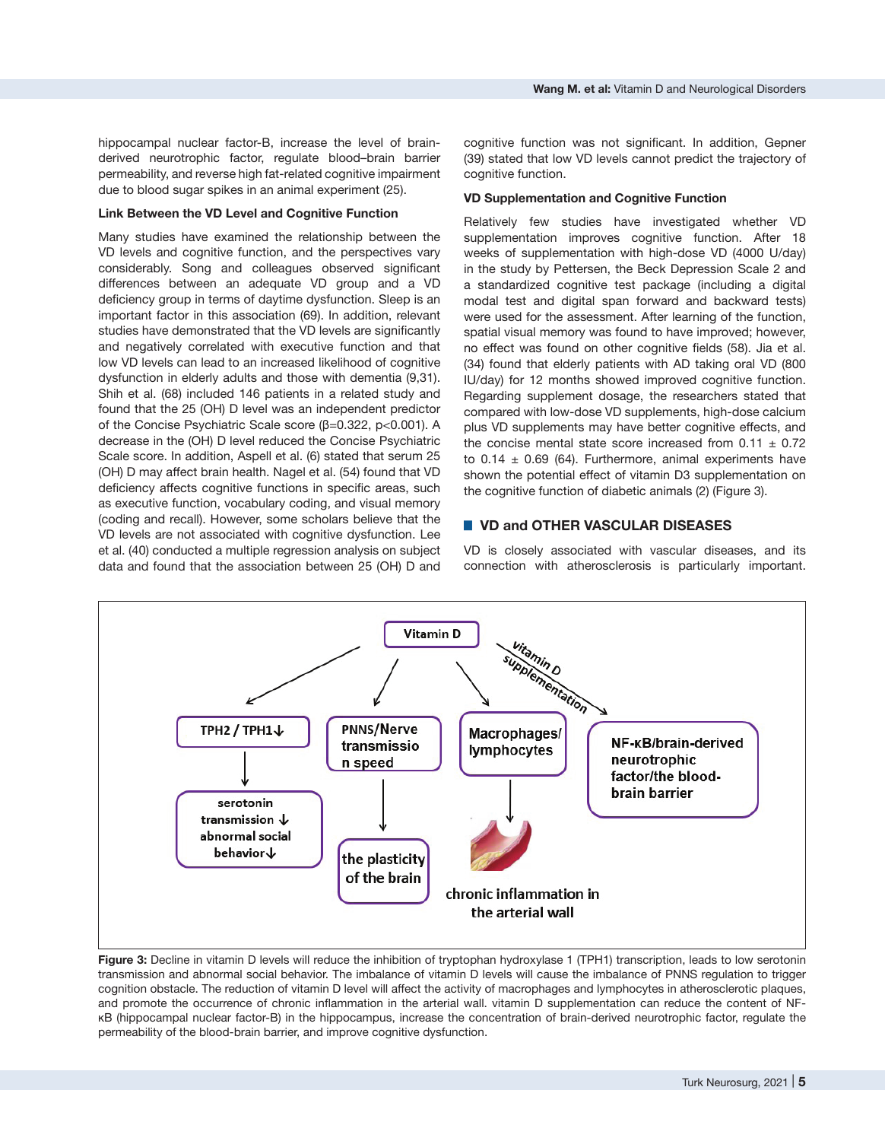hippocampal nuclear factor-B, increase the level of brainderived neurotrophic factor, regulate blood–brain barrier permeability, and reverse high fat-related cognitive impairment due to blood sugar spikes in an animal experiment (25).

#### **Link Between the VD Level and Cognitive Function**

Many studies have examined the relationship between the VD levels and cognitive function, and the perspectives vary considerably. Song and colleagues observed significant differences between an adequate VD group and a VD deficiency group in terms of daytime dysfunction. Sleep is an important factor in this association (69). In addition, relevant studies have demonstrated that the VD levels are significantly and negatively correlated with executive function and that low VD levels can lead to an increased likelihood of cognitive dysfunction in elderly adults and those with dementia (9,31). Shih et al. (68) included 146 patients in a related study and found that the 25 (OH) D level was an independent predictor of the Concise Psychiatric Scale score (β=0.322, p<0.001). A decrease in the (OH) D level reduced the Concise Psychiatric Scale score. In addition, Aspell et al. (6) stated that serum 25 (OH) D may affect brain health. Nagel et al. (54) found that VD deficiency affects cognitive functions in specific areas, such as executive function, vocabulary coding, and visual memory (coding and recall). However, some scholars believe that the VD levels are not associated with cognitive dysfunction. Lee et al. (40) conducted a multiple regression analysis on subject data and found that the association between 25 (OH) D and

cognitive function was not significant. In addition, Gepner (39) stated that low VD levels cannot predict the trajectory of cognitive function.

## **VD Supplementation and Cognitive Function**

Relatively few studies have investigated whether VD supplementation improves cognitive function. After 18 weeks of supplementation with high-dose VD (4000 U/day) in the study by Pettersen, the Beck Depression Scale 2 and a standardized cognitive test package (including a digital modal test and digital span forward and backward tests) were used for the assessment. After learning of the function, spatial visual memory was found to have improved; however, no effect was found on other cognitive fields (58). Jia et al. (34) found that elderly patients with AD taking oral VD (800 IU/day) for 12 months showed improved cognitive function. Regarding supplement dosage, the researchers stated that compared with low-dose VD supplements, high-dose calcium plus VD supplements may have better cognitive effects, and the concise mental state score increased from  $0.11 \pm 0.72$ to  $0.14 \pm 0.69$  (64). Furthermore, animal experiments have shown the potential effect of vitamin D3 supplementation on the cognitive function of diabetic animals (2) (Figure 3).

## █ **VD and OTHER VASCULAR DISEASES**

VD is closely associated with vascular diseases, and its connection with atherosclerosis is particularly important.



**Figure 3:** Decline in vitamin D levels will reduce the inhibition of tryptophan hydroxylase 1 (TPH1) transcription, leads to low serotonin transmission and abnormal social behavior. The imbalance of vitamin D levels will cause the imbalance of PNNS regulation to trigger cognition obstacle. The reduction of vitamin D level will affect the activity of macrophages and lymphocytes in atherosclerotic plaques, and promote the occurrence of chronic inflammation in the arterial wall. vitamin D supplementation can reduce the content of NFκB (hippocampal nuclear factor-B) in the hippocampus, increase the concentration of brain-derived neurotrophic factor, regulate the permeability of the blood-brain barrier, and improve cognitive dysfunction.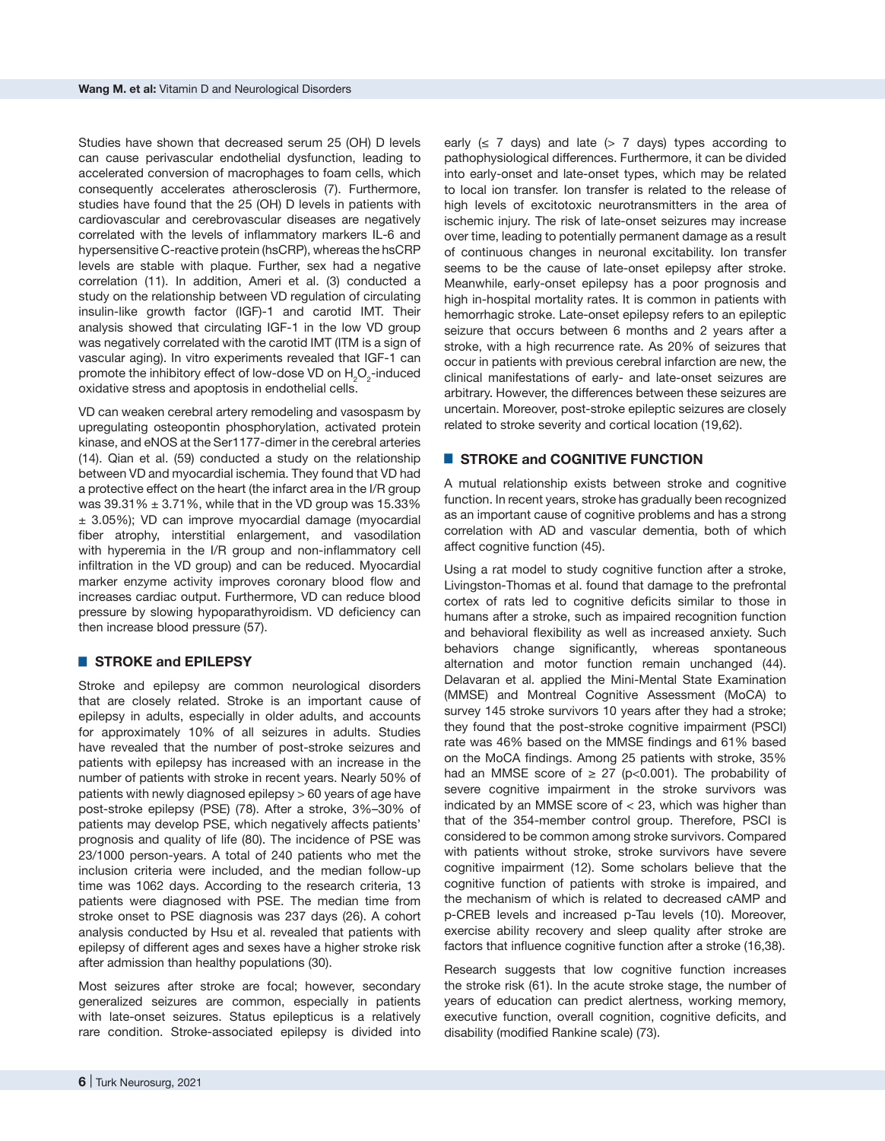Studies have shown that decreased serum 25 (OH) D levels can cause perivascular endothelial dysfunction, leading to accelerated conversion of macrophages to foam cells, which consequently accelerates atherosclerosis (7). Furthermore, studies have found that the 25 (OH) D levels in patients with cardiovascular and cerebrovascular diseases are negatively correlated with the levels of inflammatory markers IL-6 and hypersensitive C-reactive protein (hsCRP), whereas the hsCRP levels are stable with plaque. Further, sex had a negative correlation (11). In addition, Ameri et al. (3) conducted a study on the relationship between VD regulation of circulating insulin-like growth factor (IGF)-1 and carotid IMT. Their analysis showed that circulating IGF-1 in the low VD group was negatively correlated with the carotid IMT (ITM is a sign of vascular aging). In vitro experiments revealed that IGF-1 can promote the inhibitory effect of low-dose VD on  $H_2O_2$ -induced oxidative stress and apoptosis in endothelial cells.

VD can weaken cerebral artery remodeling and vasospasm by upregulating osteopontin phosphorylation, activated protein kinase, and eNOS at the Ser1177-dimer in the cerebral arteries (14). Qian et al. (59) conducted a study on the relationship between VD and myocardial ischemia. They found that VD had a protective effect on the heart (the infarct area in the I/R group was  $39.31\% \pm 3.71\%$ , while that in the VD group was 15.33% ± 3.05%); VD can improve myocardial damage (myocardial fiber atrophy, interstitial enlargement, and vasodilation with hyperemia in the I/R group and non-inflammatory cell infiltration in the VD group) and can be reduced. Myocardial marker enzyme activity improves coronary blood flow and increases cardiac output. Furthermore, VD can reduce blood pressure by slowing hypoparathyroidism. VD deficiency can then increase blood pressure (57).

## █ **STROKE and EPILEPSY**

Stroke and epilepsy are common neurological disorders that are closely related. Stroke is an important cause of epilepsy in adults, especially in older adults, and accounts for approximately 10% of all seizures in adults. Studies have revealed that the number of post-stroke seizures and patients with epilepsy has increased with an increase in the number of patients with stroke in recent years. Nearly 50% of patients with newly diagnosed epilepsy > 60 years of age have post-stroke epilepsy (PSE) (78). After a stroke, 3%–30% of patients may develop PSE, which negatively affects patients' prognosis and quality of life (80). The incidence of PSE was 23/1000 person-years. A total of 240 patients who met the inclusion criteria were included, and the median follow-up time was 1062 days. According to the research criteria, 13 patients were diagnosed with PSE. The median time from stroke onset to PSE diagnosis was 237 days (26). A cohort analysis conducted by Hsu et al. revealed that patients with epilepsy of different ages and sexes have a higher stroke risk after admission than healthy populations (30).

Most seizures after stroke are focal; however, secondary generalized seizures are common, especially in patients with late-onset seizures. Status epilepticus is a relatively rare condition. Stroke-associated epilepsy is divided into

early  $(\leq 7 \text{ days})$  and late  $(> 7 \text{ days})$  types according to pathophysiological differences. Furthermore, it can be divided into early-onset and late-onset types, which may be related to local ion transfer. Ion transfer is related to the release of high levels of excitotoxic neurotransmitters in the area of ischemic injury. The risk of late-onset seizures may increase over time, leading to potentially permanent damage as a result of continuous changes in neuronal excitability. Ion transfer seems to be the cause of late-onset epilepsy after stroke. Meanwhile, early-onset epilepsy has a poor prognosis and high in-hospital mortality rates. It is common in patients with hemorrhagic stroke. Late-onset epilepsy refers to an epileptic seizure that occurs between 6 months and 2 years after a stroke, with a high recurrence rate. As 20% of seizures that occur in patients with previous cerebral infarction are new, the clinical manifestations of early- and late-onset seizures are arbitrary. However, the differences between these seizures are uncertain. Moreover, post-stroke epileptic seizures are closely related to stroke severity and cortical location (19,62).

## **E** STROKE and COGNITIVE FUNCTION

A mutual relationship exists between stroke and cognitive function. In recent years, stroke has gradually been recognized as an important cause of cognitive problems and has a strong correlation with AD and vascular dementia, both of which affect cognitive function (45).

Using a rat model to study cognitive function after a stroke, Livingston-Thomas et al. found that damage to the prefrontal cortex of rats led to cognitive deficits similar to those in humans after a stroke, such as impaired recognition function and behavioral flexibility as well as increased anxiety. Such behaviors change significantly, whereas spontaneous alternation and motor function remain unchanged (44). Delavaran et al. applied the Mini-Mental State Examination (MMSE) and Montreal Cognitive Assessment (MoCA) to survey 145 stroke survivors 10 years after they had a stroke; they found that the post-stroke cognitive impairment (PSCI) rate was 46% based on the MMSE findings and 61% based on the MoCA findings. Among 25 patients with stroke, 35% had an MMSE score of  $\geq$  27 (p<0.001). The probability of severe cognitive impairment in the stroke survivors was indicated by an MMSE score of  $<$  23, which was higher than that of the 354-member control group. Therefore, PSCI is considered to be common among stroke survivors. Compared with patients without stroke, stroke survivors have severe cognitive impairment (12). Some scholars believe that the cognitive function of patients with stroke is impaired, and the mechanism of which is related to decreased cAMP and p-CREB levels and increased p-Tau levels (10). Moreover, exercise ability recovery and sleep quality after stroke are factors that influence cognitive function after a stroke (16,38).

Research suggests that low cognitive function increases the stroke risk (61). In the acute stroke stage, the number of years of education can predict alertness, working memory, executive function, overall cognition, cognitive deficits, and disability (modified Rankine scale) (73).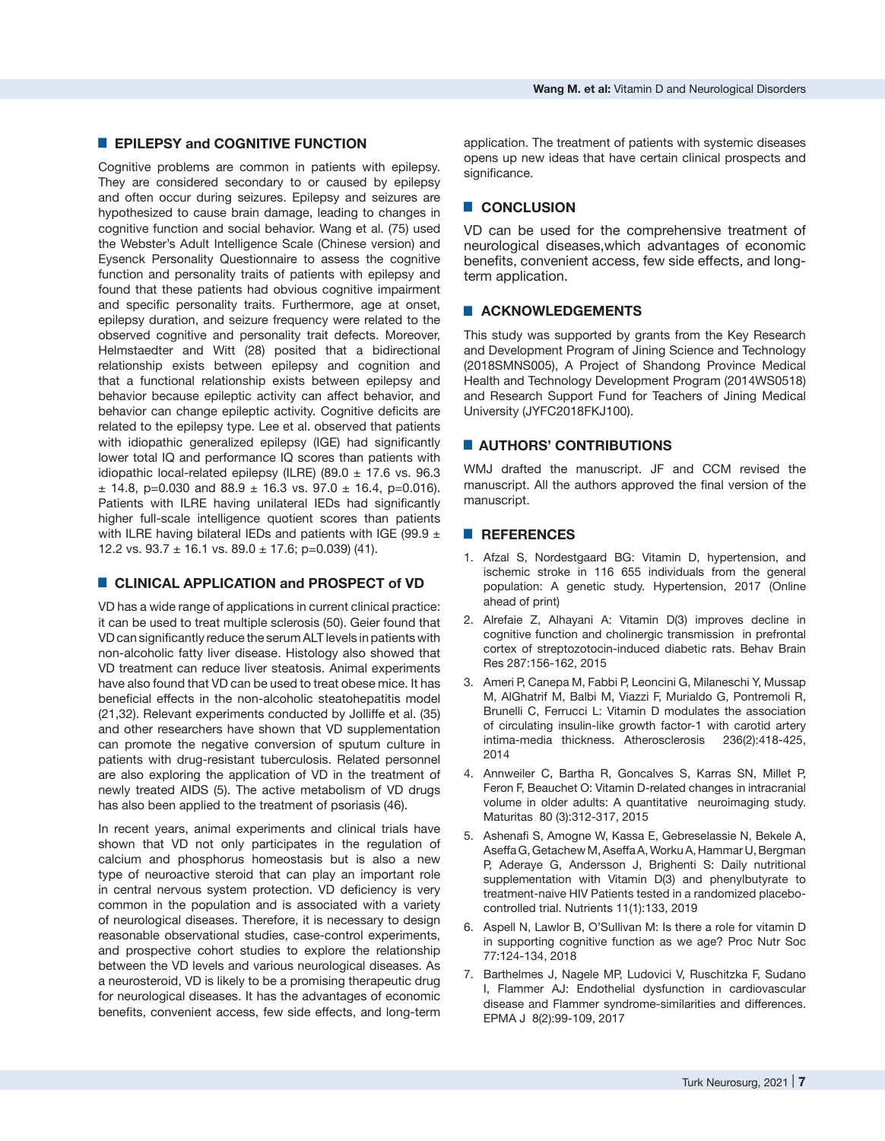# █ **EPILEPSY and COGNITIVE FUNCTION**

Cognitive problems are common in patients with epilepsy. They are considered secondary to or caused by epilepsy and often occur during seizures. Epilepsy and seizures are hypothesized to cause brain damage, leading to changes in cognitive function and social behavior. Wang et al. (75) used the Webster's Adult Intelligence Scale (Chinese version) and Eysenck Personality Questionnaire to assess the cognitive function and personality traits of patients with epilepsy and found that these patients had obvious cognitive impairment and specific personality traits. Furthermore, age at onset, epilepsy duration, and seizure frequency were related to the observed cognitive and personality trait defects. Moreover, Helmstaedter and Witt (28) posited that a bidirectional relationship exists between epilepsy and cognition and that a functional relationship exists between epilepsy and behavior because epileptic activity can affect behavior, and behavior can change epileptic activity. Cognitive deficits are related to the epilepsy type. Lee et al. observed that patients with idiopathic generalized epilepsy (IGE) had significantly lower total IQ and performance IQ scores than patients with idiopathic local-related epilepsy (ILRE) (89.0  $\pm$  17.6 vs. 96.3  $\pm$  14.8, p=0.030 and 88.9  $\pm$  16.3 vs. 97.0  $\pm$  16.4, p=0.016). Patients with ILRE having unilateral IEDs had significantly higher full-scale intelligence quotient scores than patients with ILRE having bilateral IEDs and patients with IGE (99.9  $\pm$ 12.2 vs.  $93.7 \pm 16.1$  vs.  $89.0 \pm 17.6$ ; p=0.039) (41).

# ■ **CLINICAL APPLICATION and PROSPECT of VD**

VD has a wide range of applications in current clinical practice: it can be used to treat multiple sclerosis (50). Geier found that VD can significantly reduce the serum ALT levels in patients with non-alcoholic fatty liver disease. Histology also showed that VD treatment can reduce liver steatosis. Animal experiments have also found that VD can be used to treat obese mice. It has beneficial effects in the non-alcoholic steatohepatitis model (21,32). Relevant experiments conducted by Jolliffe et al. (35) and other researchers have shown that VD supplementation can promote the negative conversion of sputum culture in patients with drug-resistant tuberculosis. Related personnel are also exploring the application of VD in the treatment of newly treated AIDS (5). The active metabolism of VD drugs has also been applied to the treatment of psoriasis (46).

In recent years, animal experiments and clinical trials have shown that VD not only participates in the regulation of calcium and phosphorus homeostasis but is also a new type of neuroactive steroid that can play an important role in central nervous system protection. VD deficiency is very common in the population and is associated with a variety of neurological diseases. Therefore, it is necessary to design reasonable observational studies, case-control experiments, and prospective cohort studies to explore the relationship between the VD levels and various neurological diseases. As a neurosteroid, VD is likely to be a promising therapeutic drug for neurological diseases. It has the advantages of economic benefits, convenient access, few side effects, and long-term application. The treatment of patients with systemic diseases opens up new ideas that have certain clinical prospects and significance.

# █ **CONCLUSION**

VD can be used for the comprehensive treatment of neurological diseases,which advantages of economic benefits, convenient access, few side effects, and longterm application.

## █ **ACKNOWLEDGEMENTS**

This study was supported by grants from the Key Research and Development Program of Jining Science and Technology (2018SMNS005), A Project of Shandong Province Medical Health and Technology Development Program (2014WS0518) and Research Support Fund for Teachers of Jining Medical University (JYFC2018FKJ100).

## **E AUTHORS' CONTRIBUTIONS**

WMJ drafted the manuscript. JF and CCM revised the manuscript. All the authors approved the final version of the manuscript.

## █ **REFERENCES**

- 1. Afzal S, Nordestgaard BG: Vitamin D, hypertension, and ischemic stroke in 116 655 individuals from the general population: A genetic study. Hypertension, 2017 (Online ahead of print)
- 2. Alrefaie Z, Alhayani A: Vitamin D(3) improves decline in cognitive function and cholinergic transmission in prefrontal cortex of streptozotocin-induced diabetic rats. Behav Brain Res 287:156-162, 2015
- 3. Ameri P, Canepa M, Fabbi P, Leoncini G, Milaneschi Y, Mussap M, AlGhatrif M, Balbi M, Viazzi F, Murialdo G, Pontremoli R, Brunelli C, Ferrucci L: Vitamin D modulates the association of circulating insulin-like growth factor-1 with carotid artery intima-media thickness. Atherosclerosis 236(2):418-425, 2014
- 4. Annweiler C, Bartha R, Goncalves S, Karras SN, Millet P, Feron F, Beauchet O: Vitamin D-related changes in intracranial volume in older adults: A quantitative neuroimaging study. Maturitas 80 (3):312-317, 2015
- 5. Ashenafi S, Amogne W, Kassa E, Gebreselassie N, Bekele A, Aseffa G, Getachew M, Aseffa A, Worku A, Hammar U, Bergman P, Aderaye G, Andersson J, Brighenti S: Daily nutritional supplementation with Vitamin D(3) and phenylbutyrate to treatment-naive HIV Patients tested in a randomized placebocontrolled trial. Nutrients 11(1):133, 2019
- 6. Aspell N, Lawlor B, O'Sullivan M: Is there a role for vitamin D in supporting cognitive function as we age? Proc Nutr Soc 77:124-134, 2018
- 7. Barthelmes J, Nagele MP, Ludovici V, Ruschitzka F, Sudano I, Flammer AJ: Endothelial dysfunction in cardiovascular disease and Flammer syndrome-similarities and differences. EPMA J 8(2):99-109, 2017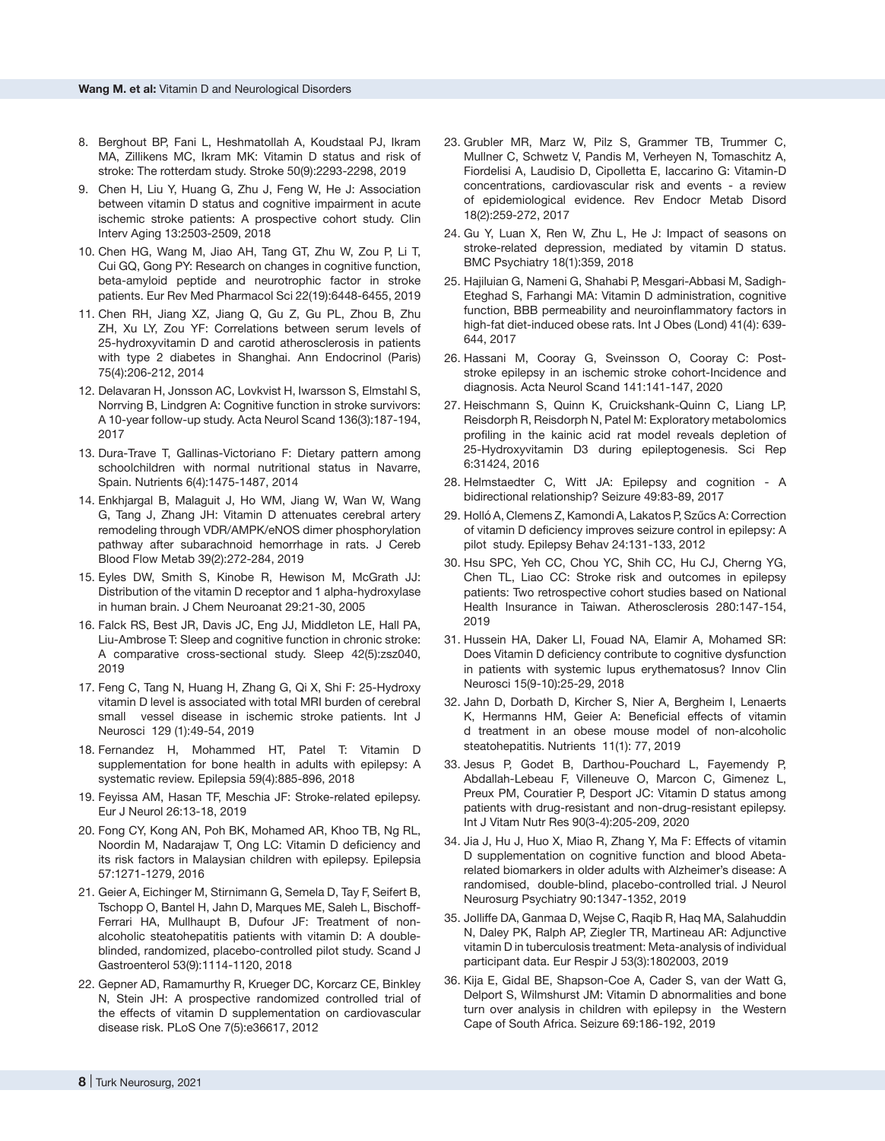- 8. Berghout BP, Fani L, Heshmatollah A, Koudstaal PJ, Ikram MA, Zillikens MC, Ikram MK: Vitamin D status and risk of stroke: The rotterdam study. Stroke 50(9):2293-2298, 2019
- 9. Chen H, Liu Y, Huang G, Zhu J, Feng W, He J: Association between vitamin D status and cognitive impairment in acute ischemic stroke patients: A prospective cohort study. Clin Interv Aging 13:2503-2509, 2018
- 10. Chen HG, Wang M, Jiao AH, Tang GT, Zhu W, Zou P, Li T, Cui GQ, Gong PY: Research on changes in cognitive function, beta-amyloid peptide and neurotrophic factor in stroke patients. Eur Rev Med Pharmacol Sci 22(19):6448-6455, 2019
- 11. Chen RH, Jiang XZ, Jiang Q, Gu Z, Gu PL, Zhou B, Zhu ZH, Xu LY, Zou YF: Correlations between serum levels of 25-hydroxyvitamin D and carotid atherosclerosis in patients with type 2 diabetes in Shanghai. Ann Endocrinol (Paris) 75(4):206-212, 2014
- 12. Delavaran H, Jonsson AC, Lovkvist H, Iwarsson S, Elmstahl S, Norrving B, Lindgren A: Cognitive function in stroke survivors: A 10-year follow-up study. Acta Neurol Scand 136(3):187-194, 2017
- 13. Dura-Trave T, Gallinas-Victoriano F: Dietary pattern among schoolchildren with normal nutritional status in Navarre, Spain. Nutrients 6(4):1475-1487, 2014
- 14. Enkhjargal B, Malaguit J, Ho WM, Jiang W, Wan W, Wang G, Tang J, Zhang JH: Vitamin D attenuates cerebral artery remodeling through VDR/AMPK/eNOS dimer phosphorylation pathway after subarachnoid hemorrhage in rats. J Cereb Blood Flow Metab 39(2):272-284, 2019
- 15. Eyles DW, Smith S, Kinobe R, Hewison M, McGrath JJ: Distribution of the vitamin D receptor and 1 alpha-hydroxylase in human brain. J Chem Neuroanat 29:21-30, 2005
- 16. Falck RS, Best JR, Davis JC, Eng JJ, Middleton LE, Hall PA, Liu-Ambrose T: Sleep and cognitive function in chronic stroke: A comparative cross-sectional study. Sleep 42(5):zsz040, 2019
- 17. Feng C, Tang N, Huang H, Zhang G, Qi X, Shi F: 25-Hydroxy vitamin D level is associated with total MRI burden of cerebral small vessel disease in ischemic stroke patients. Int J Neurosci 129 (1):49-54, 2019
- 18. Fernandez H, Mohammed HT, Patel T: Vitamin D supplementation for bone health in adults with epilepsy: A systematic review. Epilepsia 59(4):885-896, 2018
- 19. Feyissa AM, Hasan TF, Meschia JF: Stroke-related epilepsy. Eur J Neurol 26:13-18, 2019
- 20. Fong CY, Kong AN, Poh BK, Mohamed AR, Khoo TB, Ng RL, Noordin M, Nadarajaw T, Ong LC: Vitamin D deficiency and its risk factors in Malaysian children with epilepsy. Epilepsia 57:1271-1279, 2016
- 21. Geier A, Eichinger M, Stirnimann G, Semela D, Tay F, Seifert B, Tschopp O, Bantel H, Jahn D, Marques ME, Saleh L, Bischoff-Ferrari HA, Mullhaupt B, Dufour JF: Treatment of nonalcoholic steatohepatitis patients with vitamin D: A doubleblinded, randomized, placebo-controlled pilot study. Scand J Gastroenterol 53(9):1114-1120, 2018
- 22. Gepner AD, Ramamurthy R, Krueger DC, Korcarz CE, Binkley N, Stein JH: A prospective randomized controlled trial of the effects of vitamin D supplementation on cardiovascular disease risk. PLoS One 7(5):e36617, 2012
- 23. Grubler MR, Marz W, Pilz S, Grammer TB, Trummer C, Mullner C, Schwetz V, Pandis M, Verheyen N, Tomaschitz A, Fiordelisi A, Laudisio D, Cipolletta E, Iaccarino G: Vitamin-D concentrations, cardiovascular risk and events - a review of epidemiological evidence. Rev Endocr Metab Disord 18(2):259-272, 2017
- 24. Gu Y, Luan X, Ren W, Zhu L, He J: Impact of seasons on stroke-related depression, mediated by vitamin D status. BMC Psychiatry 18(1):359, 2018
- 25. Hajiluian G, Nameni G, Shahabi P, Mesgari-Abbasi M, Sadigh-Eteghad S, Farhangi MA: Vitamin D administration, cognitive function, BBB permeability and neuroinflammatory factors in high-fat diet-induced obese rats. Int J Obes (Lond) 41(4): 639- 644, 2017
- 26. Hassani M, Cooray G, Sveinsson O, Cooray C: Poststroke epilepsy in an ischemic stroke cohort-Incidence and diagnosis. Acta Neurol Scand 141:141-147, 2020
- 27. Heischmann S, Quinn K, Cruickshank-Quinn C, Liang LP, Reisdorph R, Reisdorph N, Patel M: Exploratory metabolomics profiling in the kainic acid rat model reveals depletion of 25-Hydroxyvitamin D3 during epileptogenesis. Sci Rep 6:31424, 2016
- 28. Helmstaedter C, Witt JA: Epilepsy and cognition A bidirectional relationship? Seizure 49:83-89, 2017
- 29. Holló A, Clemens Z, Kamondi A, Lakatos P, Szűcs A: Correction of vitamin D deficiency improves seizure control in epilepsy: A pilot study. Epilepsy Behav 24:131-133, 2012
- 30. Hsu SPC, Yeh CC, Chou YC, Shih CC, Hu CJ, Cherng YG, Chen TL, Liao CC: Stroke risk and outcomes in epilepsy patients: Two retrospective cohort studies based on National Health Insurance in Taiwan. Atherosclerosis 280:147-154, 2019
- 31. Hussein HA, Daker LI, Fouad NA, Elamir A, Mohamed SR: Does Vitamin D deficiency contribute to cognitive dysfunction in patients with systemic lupus erythematosus? Innov Clin Neurosci 15(9-10):25-29, 2018
- 32. Jahn D, Dorbath D, Kircher S, Nier A, Bergheim I, Lenaerts K, Hermanns HM, Geier A: Beneficial effects of vitamin d treatment in an obese mouse model of non-alcoholic steatohepatitis. Nutrients 11(1): 77, 2019
- 33. Jesus P, Godet B, Darthou-Pouchard L, Fayemendy P, Abdallah-Lebeau F, Villeneuve O, Marcon C, Gimenez L, Preux PM, Couratier P, Desport JC: Vitamin D status among patients with drug-resistant and non-drug-resistant epilepsy. Int J Vitam Nutr Res 90(3-4):205-209, 2020
- 34. Jia J, Hu J, Huo X, Miao R, Zhang Y, Ma F: Effects of vitamin D supplementation on cognitive function and blood Abetarelated biomarkers in older adults with Alzheimer's disease: A randomised, double-blind, placebo-controlled trial. J Neurol Neurosurg Psychiatry 90:1347-1352, 2019
- 35. Jolliffe DA, Ganmaa D, Wejse C, Raqib R, Haq MA, Salahuddin N, Daley PK, Ralph AP, Ziegler TR, Martineau AR: Adjunctive vitamin D in tuberculosis treatment: Meta-analysis of individual participant data. Eur Respir J 53(3):1802003, 2019
- 36. Kija E, Gidal BE, Shapson-Coe A, Cader S, van der Watt G, Delport S, Wilmshurst JM: Vitamin D abnormalities and bone turn over analysis in children with epilepsy in the Western Cape of South Africa. Seizure 69:186-192, 2019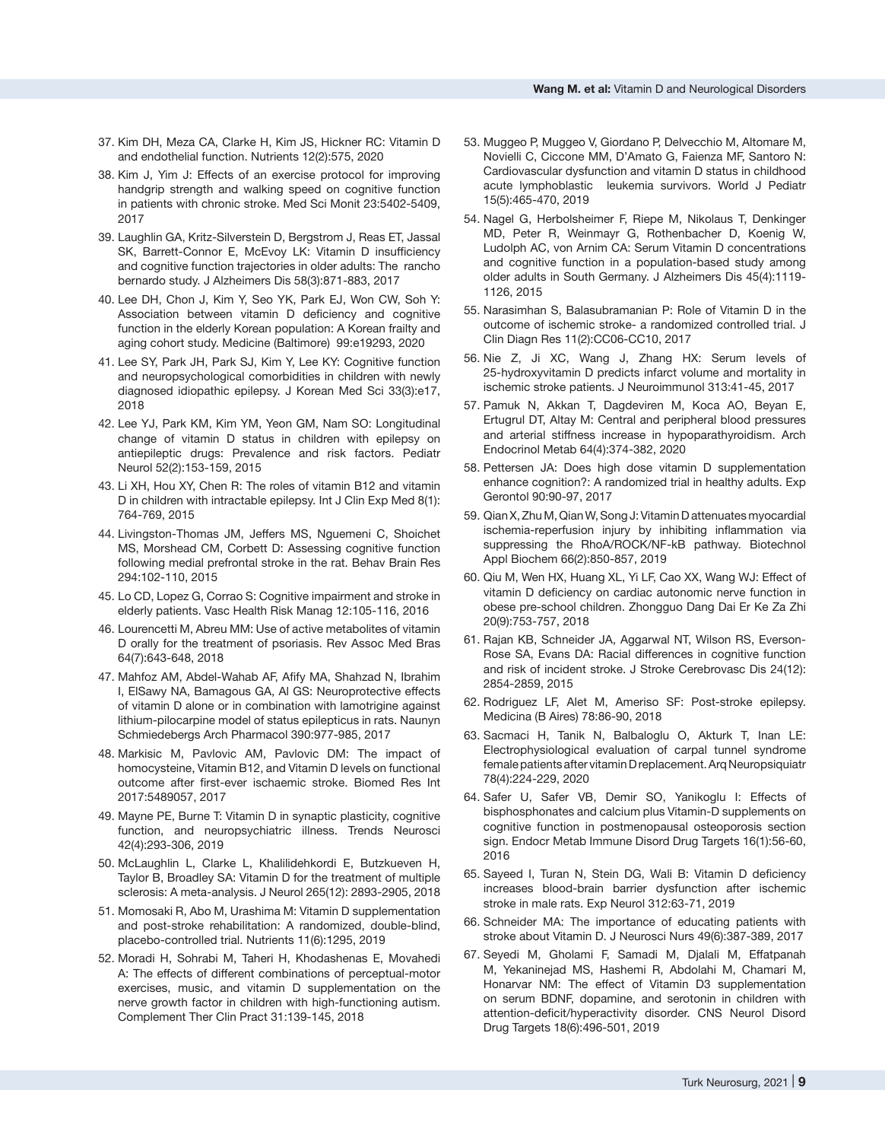- 37. Kim DH, Meza CA, Clarke H, Kim JS, Hickner RC: Vitamin D and endothelial function. Nutrients 12(2):575, 2020
- 38. Kim J, Yim J: Effects of an exercise protocol for improving handgrip strength and walking speed on cognitive function in patients with chronic stroke. Med Sci Monit 23:5402-5409, 2017
- 39. Laughlin GA, Kritz-Silverstein D, Bergstrom J, Reas ET, Jassal SK, Barrett-Connor E, McEvoy LK: Vitamin D insufficiency and cognitive function trajectories in older adults: The rancho bernardo study. J Alzheimers Dis 58(3):871-883, 2017
- 40. Lee DH, Chon J, Kim Y, Seo YK, Park EJ, Won CW, Soh Y: Association between vitamin D deficiency and cognitive function in the elderly Korean population: A Korean frailty and aging cohort study. Medicine (Baltimore) 99:e19293, 2020
- 41. Lee SY, Park JH, Park SJ, Kim Y, Lee KY: Cognitive function and neuropsychological comorbidities in children with newly diagnosed idiopathic epilepsy. J Korean Med Sci 33(3):e17, 2018
- 42. Lee YJ, Park KM, Kim YM, Yeon GM, Nam SO: Longitudinal change of vitamin D status in children with epilepsy on antiepileptic drugs: Prevalence and risk factors. Pediatr Neurol 52(2):153-159, 2015
- 43. Li XH, Hou XY, Chen R: The roles of vitamin B12 and vitamin D in children with intractable epilepsy. Int J Clin Exp Med 8(1): 764-769, 2015
- 44. Livingston-Thomas JM, Jeffers MS, Nguemeni C, Shoichet MS, Morshead CM, Corbett D: Assessing cognitive function following medial prefrontal stroke in the rat. Behav Brain Res 294:102-110, 2015
- 45. Lo CD, Lopez G, Corrao S: Cognitive impairment and stroke in elderly patients. Vasc Health Risk Manag 12:105-116, 2016
- 46. Lourencetti M, Abreu MM: Use of active metabolites of vitamin D orally for the treatment of psoriasis. Rev Assoc Med Bras 64(7):643-648, 2018
- 47. Mahfoz AM, Abdel-Wahab AF, Afify MA, Shahzad N, Ibrahim I, ElSawy NA, Bamagous GA, Al GS: Neuroprotective effects of vitamin D alone or in combination with lamotrigine against lithium-pilocarpine model of status epilepticus in rats. Naunyn Schmiedebergs Arch Pharmacol 390:977-985, 2017
- 48. Markisic M, Pavlovic AM, Pavlovic DM: The impact of homocysteine, Vitamin B12, and Vitamin D levels on functional outcome after first-ever ischaemic stroke. Biomed Res Int 2017:5489057, 2017
- 49. Mayne PE, Burne T: Vitamin D in synaptic plasticity, cognitive function, and neuropsychiatric illness. Trends Neurosci 42(4):293-306, 2019
- 50. McLaughlin L, Clarke L, Khalilidehkordi E, Butzkueven H, Taylor B, Broadley SA: Vitamin D for the treatment of multiple sclerosis: A meta-analysis. J Neurol 265(12): 2893-2905, 2018
- 51. Momosaki R, Abo M, Urashima M: Vitamin D supplementation and post-stroke rehabilitation: A randomized, double-blind, placebo-controlled trial. Nutrients 11(6):1295, 2019
- 52. Moradi H, Sohrabi M, Taheri H, Khodashenas E, Movahedi A: The effects of different combinations of perceptual-motor exercises, music, and vitamin D supplementation on the nerve growth factor in children with high-functioning autism. Complement Ther Clin Pract 31:139-145, 2018
- 53. Muggeo P, Muggeo V, Giordano P, Delvecchio M, Altomare M, Novielli C, Ciccone MM, D'Amato G, Faienza MF, Santoro N: Cardiovascular dysfunction and vitamin D status in childhood acute lymphoblastic leukemia survivors. World J Pediatr 15(5):465-470, 2019
- 54. Nagel G, Herbolsheimer F, Riepe M, Nikolaus T, Denkinger MD, Peter R, Weinmayr G, Rothenbacher D, Koenig W, Ludolph AC, von Arnim CA: Serum Vitamin D concentrations and cognitive function in a population-based study among older adults in South Germany. J Alzheimers Dis 45(4):1119- 1126, 2015
- 55. Narasimhan S, Balasubramanian P: Role of Vitamin D in the outcome of ischemic stroke- a randomized controlled trial. J Clin Diagn Res 11(2):CC06-CC10, 2017
- 56. Nie Z, Ji XC, Wang J, Zhang HX: Serum levels of 25-hydroxyvitamin D predicts infarct volume and mortality in ischemic stroke patients. J Neuroimmunol 313:41-45, 2017
- 57. Pamuk N, Akkan T, Dagdeviren M, Koca AO, Beyan E, Ertugrul DT, Altay M: Central and peripheral blood pressures and arterial stiffness increase in hypoparathyroidism. Arch Endocrinol Metab 64(4):374-382, 2020
- 58. Pettersen JA: Does high dose vitamin D supplementation enhance cognition?: A randomized trial in healthy adults. Exp Gerontol 90:90-97, 2017
- 59. Qian X, Zhu M, Qian W, Song J: Vitamin D attenuates myocardial ischemia-reperfusion injury by inhibiting inflammation via suppressing the RhoA/ROCK/NF-kB pathway. Biotechnol Appl Biochem 66(2):850-857, 2019
- 60. Qiu M, Wen HX, Huang XL, Yi LF, Cao XX, Wang WJ: Effect of vitamin D deficiency on cardiac autonomic nerve function in obese pre-school children. Zhongguo Dang Dai Er Ke Za Zhi 20(9):753-757, 2018
- 61. Rajan KB, Schneider JA, Aggarwal NT, Wilson RS, Everson-Rose SA, Evans DA: Racial differences in cognitive function and risk of incident stroke. J Stroke Cerebrovasc Dis 24(12): 2854-2859, 2015
- 62. Rodriguez LF, Alet M, Ameriso SF: Post-stroke epilepsy. Medicina (B Aires) 78:86-90, 2018
- 63. Sacmaci H, Tanik N, Balbaloglu O, Akturk T, Inan LE: Electrophysiological evaluation of carpal tunnel syndrome female patients after vitamin D replacement. Arq Neuropsiquiatr 78(4):224-229, 2020
- 64. Safer U, Safer VB, Demir SO, Yanikoglu I: Effects of bisphosphonates and calcium plus Vitamin-D supplements on cognitive function in postmenopausal osteoporosis section sign. Endocr Metab Immune Disord Drug Targets 16(1):56-60, 2016
- 65. Sayeed I, Turan N, Stein DG, Wali B: Vitamin D deficiency increases blood-brain barrier dysfunction after ischemic stroke in male rats. Exp Neurol 312:63-71, 2019
- 66. Schneider MA: The importance of educating patients with stroke about Vitamin D. J Neurosci Nurs 49(6):387-389, 2017
- 67. Seyedi M, Gholami F, Samadi M, Djalali M, Effatpanah M, Yekaninejad MS, Hashemi R, Abdolahi M, Chamari M, Honarvar NM: The effect of Vitamin D3 supplementation on serum BDNF, dopamine, and serotonin in children with attention-deficit/hyperactivity disorder. CNS Neurol Disord Drug Targets 18(6):496-501, 2019